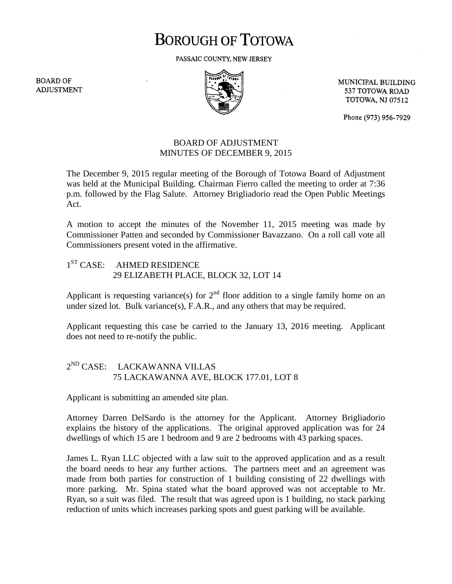# **BOROUGH OF TOTOWA**

PASSAIC COUNTY, NEW JERSEY

**BOARD OF ADJUSTMENT** 



MUNICIPAL BUILDING 537 TOTOWA ROAD **TOTOWA, NJ 07512** 

Phone (973) 956-7929

### BOARD OF ADJUSTMENT MINUTES OF DECEMBER 9, 2015

The December 9, 2015 regular meeting of the Borough of Totowa Board of Adjustment was held at the Municipal Building. Chairman Fierro called the meeting to order at 7:36 p.m. followed by the Flag Salute. Attorney Brigliadorio read the Open Public Meetings Act.

A motion to accept the minutes of the November 11, 2015 meeting was made by Commissioner Patten and seconded by Commissioner Bavazzano. On a roll call vote all Commissioners present voted in the affirmative.

# 1<sup>ST</sup> CASE: AHMED RESIDENCE 29 ELIZABETH PLACE, BLOCK 32, LOT 14

Applicant is requesting variance(s) for  $2<sup>nd</sup>$  floor addition to a single family home on an under sized lot. Bulk variance(s), F.A.R., and any others that may be required.

Applicant requesting this case be carried to the January 13, 2016 meeting. Applicant does not need to re-notify the public.

# 2 ND CASE: LACKAWANNA VILLAS 75 LACKAWANNA AVE, BLOCK 177.01, LOT 8

Applicant is submitting an amended site plan.

Attorney Darren DelSardo is the attorney for the Applicant. Attorney Brigliadorio explains the history of the applications. The original approved application was for 24 dwellings of which 15 are 1 bedroom and 9 are 2 bedrooms with 43 parking spaces.

James L. Ryan LLC objected with a law suit to the approved application and as a result the board needs to hear any further actions. The partners meet and an agreement was made from both parties for construction of 1 building consisting of 22 dwellings with more parking. Mr. Spina stated what the board approved was not acceptable to Mr. Ryan, so a suit was filed. The result that was agreed upon is 1 building, no stack parking reduction of units which increases parking spots and guest parking will be available.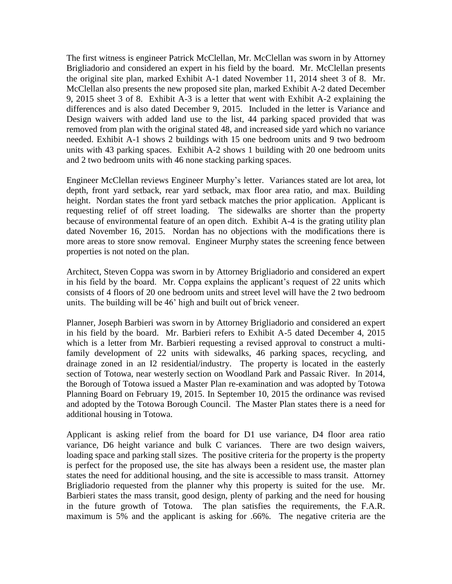The first witness is engineer Patrick McClellan, Mr. McClellan was sworn in by Attorney Brigliadorio and considered an expert in his field by the board. Mr. McClellan presents the original site plan, marked Exhibit A-1 dated November 11, 2014 sheet 3 of 8. Mr. McClellan also presents the new proposed site plan, marked Exhibit A-2 dated December 9, 2015 sheet 3 of 8. Exhibit A-3 is a letter that went with Exhibit A-2 explaining the differences and is also dated December 9, 2015. Included in the letter is Variance and Design waivers with added land use to the list, 44 parking spaced provided that was removed from plan with the original stated 48, and increased side yard which no variance needed. Exhibit A-1 shows 2 buildings with 15 one bedroom units and 9 two bedroom units with 43 parking spaces. Exhibit A-2 shows 1 building with 20 one bedroom units and 2 two bedroom units with 46 none stacking parking spaces.

Engineer McClellan reviews Engineer Murphy's letter. Variances stated are lot area, lot depth, front yard setback, rear yard setback, max floor area ratio, and max. Building height. Nordan states the front yard setback matches the prior application. Applicant is requesting relief of off street loading. The sidewalks are shorter than the property because of environmental feature of an open ditch. Exhibit A-4 is the grating utility plan dated November 16, 2015. Nordan has no objections with the modifications there is more areas to store snow removal. Engineer Murphy states the screening fence between properties is not noted on the plan.

Architect, Steven Coppa was sworn in by Attorney Brigliadorio and considered an expert in his field by the board. Mr. Coppa explains the applicant's request of 22 units which consists of 4 floors of 20 one bedroom units and street level will have the 2 two bedroom units. The building will be 46' high and built out of brick veneer.

Planner, Joseph Barbieri was sworn in by Attorney Brigliadorio and considered an expert in his field by the board. Mr. Barbieri refers to Exhibit A-5 dated December 4, 2015 which is a letter from Mr. Barbieri requesting a revised approval to construct a multifamily development of 22 units with sidewalks, 46 parking spaces, recycling, and drainage zoned in an I2 residential/industry. The property is located in the easterly section of Totowa, near westerly section on Woodland Park and Passaic River. In 2014, the Borough of Totowa issued a Master Plan re-examination and was adopted by Totowa Planning Board on February 19, 2015. In September 10, 2015 the ordinance was revised and adopted by the Totowa Borough Council. The Master Plan states there is a need for additional housing in Totowa.

Applicant is asking relief from the board for D1 use variance, D4 floor area ratio variance, D6 height variance and bulk C variances. There are two design waivers, loading space and parking stall sizes. The positive criteria for the property is the property is perfect for the proposed use, the site has always been a resident use, the master plan states the need for additional housing, and the site is accessible to mass transit. Attorney Brigliadorio requested from the planner why this property is suited for the use. Mr. Barbieri states the mass transit, good design, plenty of parking and the need for housing in the future growth of Totowa. The plan satisfies the requirements, the F.A.R. maximum is 5% and the applicant is asking for .66%. The negative criteria are the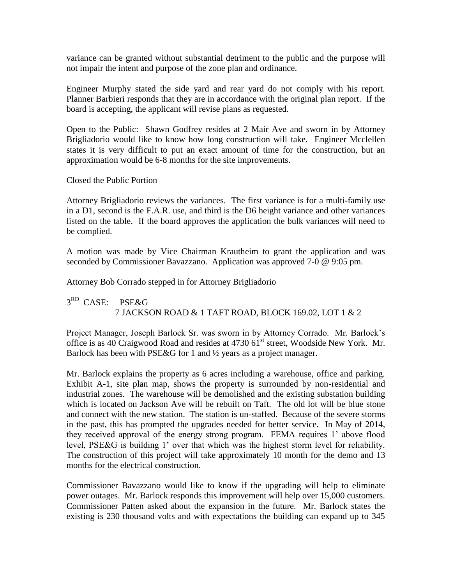variance can be granted without substantial detriment to the public and the purpose will not impair the intent and purpose of the zone plan and ordinance.

Engineer Murphy stated the side yard and rear yard do not comply with his report. Planner Barbieri responds that they are in accordance with the original plan report. If the board is accepting, the applicant will revise plans as requested.

Open to the Public: Shawn Godfrey resides at 2 Mair Ave and sworn in by Attorney Brigliadorio would like to know how long construction will take. Engineer Mcclellen states it is very difficult to put an exact amount of time for the construction, but an approximation would be 6-8 months for the site improvements.

Closed the Public Portion

Attorney Brigliadorio reviews the variances. The first variance is for a multi-family use in a D1, second is the F.A.R. use, and third is the D6 height variance and other variances listed on the table. If the board approves the application the bulk variances will need to be complied.

A motion was made by Vice Chairman Krautheim to grant the application and was seconded by Commissioner Bavazzano. Application was approved 7-0 @ 9:05 pm.

Attorney Bob Corrado stepped in for Attorney Brigliadorio

# 3<sup>RD</sup> CASE: PSE&G 7 JACKSON ROAD & 1 TAFT ROAD, BLOCK 169.02, LOT 1 & 2

Project Manager, Joseph Barlock Sr. was sworn in by Attorney Corrado. Mr. Barlock's office is as 40 Craigwood Road and resides at 4730 61<sup>st</sup> street, Woodside New York. Mr. Barlock has been with PSE&G for 1 and  $\frac{1}{2}$  years as a project manager.

Mr. Barlock explains the property as 6 acres including a warehouse, office and parking. Exhibit A-1, site plan map, shows the property is surrounded by non-residential and industrial zones. The warehouse will be demolished and the existing substation building which is located on Jackson Ave will be rebuilt on Taft. The old lot will be blue stone and connect with the new station. The station is un-staffed. Because of the severe storms in the past, this has prompted the upgrades needed for better service. In May of 2014, they received approval of the energy strong program. FEMA requires 1' above flood level, PSE&G is building 1' over that which was the highest storm level for reliability. The construction of this project will take approximately 10 month for the demo and 13 months for the electrical construction.

Commissioner Bavazzano would like to know if the upgrading will help to eliminate power outages. Mr. Barlock responds this improvement will help over 15,000 customers. Commissioner Patten asked about the expansion in the future. Mr. Barlock states the existing is 230 thousand volts and with expectations the building can expand up to 345